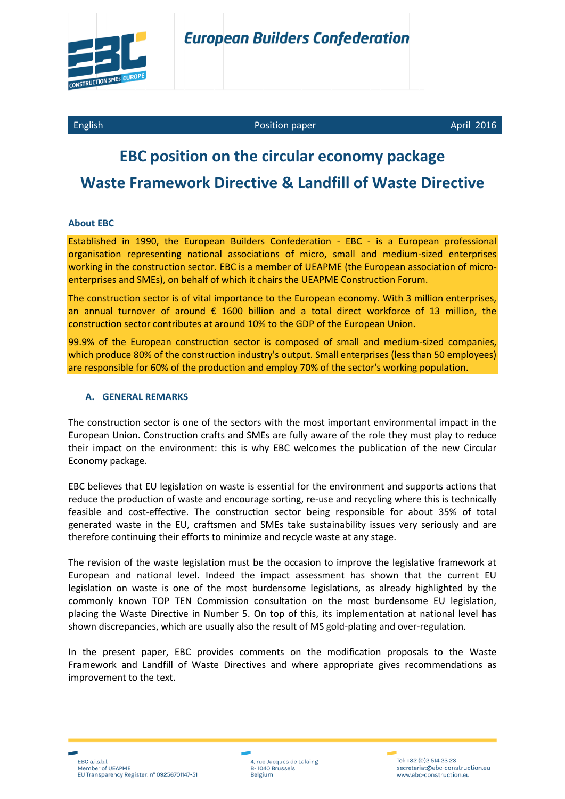

#### English Position paper April 2016

# **EBC position on the circular economy package Waste Framework Directive & Landfill of Waste Directive**

#### **About EBC**

Established in 1990, the European Builders Confederation - EBC - is a European professional organisation representing national associations of micro, small and medium-sized enterprises working in the construction sector. EBC is a member of UEAPME (the European association of microenterprises and SMEs), on behalf of which it chairs the UEAPME Construction Forum.

The construction sector is of vital importance to the European economy. With 3 million enterprises, an annual turnover of around  $\epsilon$  1600 billion and a total direct workforce of 13 million, the construction sector contributes at around 10% to the GDP of the European Union.

99.9% of the European construction sector is composed of small and medium-sized companies, which produce 80% of the construction industry's output. Small enterprises (less than 50 employees) are responsible for 60% of the production and employ 70% of the sector's working population.

#### **A. GENERAL REMARKS**

The construction sector is one of the sectors with the most important environmental impact in the European Union. Construction crafts and SMEs are fully aware of the role they must play to reduce their impact on the environment: this is why EBC welcomes the publication of the new Circular Economy package.

EBC believes that EU legislation on waste is essential for the environment and supports actions that reduce the production of waste and encourage sorting, re-use and recycling where this is technically feasible and cost-effective. The construction sector being responsible for about 35% of total generated waste in the EU, craftsmen and SMEs take sustainability issues very seriously and are therefore continuing their efforts to minimize and recycle waste at any stage.

The revision of the waste legislation must be the occasion to improve the legislative framework at European and national level. Indeed the impact assessment has shown that the current EU legislation on waste is one of the most burdensome legislations, as already highlighted by the commonly known TOP TEN Commission consultation on the most burdensome EU legislation, placing the Waste Directive in Number 5. On top of this, its implementation at national level has shown discrepancies, which are usually also the result of MS gold-plating and over-regulation.

In the present paper, EBC provides comments on the modification proposals to the Waste Framework and Landfill of Waste Directives and where appropriate gives recommendations as improvement to the text.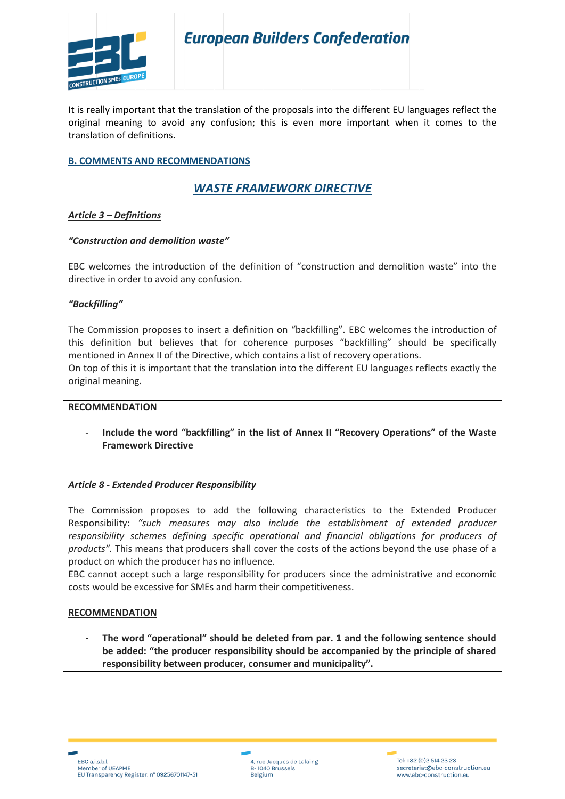

It is really important that the translation of the proposals into the different EU languages reflect the original meaning to avoid any confusion; this is even more important when it comes to the translation of definitions.

#### **B. COMMENTS AND RECOMMENDATIONS**

### *WASTE FRAMEWORK DIRECTIVE*

#### *Article 3 – Definitions*

#### *"Construction and demolition waste"*

EBC welcomes the introduction of the definition of "construction and demolition waste" into the directive in order to avoid any confusion.

#### *"Backfilling"*

The Commission proposes to insert a definition on "backfilling". EBC welcomes the introduction of this definition but believes that for coherence purposes "backfilling" should be specifically mentioned in Annex II of the Directive, which contains a list of recovery operations.

On top of this it is important that the translation into the different EU languages reflects exactly the original meaning.

#### **RECOMMENDATION**

- **Include the word "backfilling" in the list of Annex II "Recovery Operations" of the Waste Framework Directive** 

#### *Article 8 - Extended Producer Responsibility*

The Commission proposes to add the following characteristics to the Extended Producer Responsibility: *"such measures may also include the establishment of extended producer responsibility schemes defining specific operational and financial obligations for producers of products".* This means that producers shall cover the costs of the actions beyond the use phase of a product on which the producer has no influence.

EBC cannot accept such a large responsibility for producers since the administrative and economic costs would be excessive for SMEs and harm their competitiveness.

#### **RECOMMENDATION**

- **The word "operational" should be deleted from par. 1 and the following sentence should be added: "the producer responsibility should be accompanied by the principle of shared responsibility between producer, consumer and municipality".**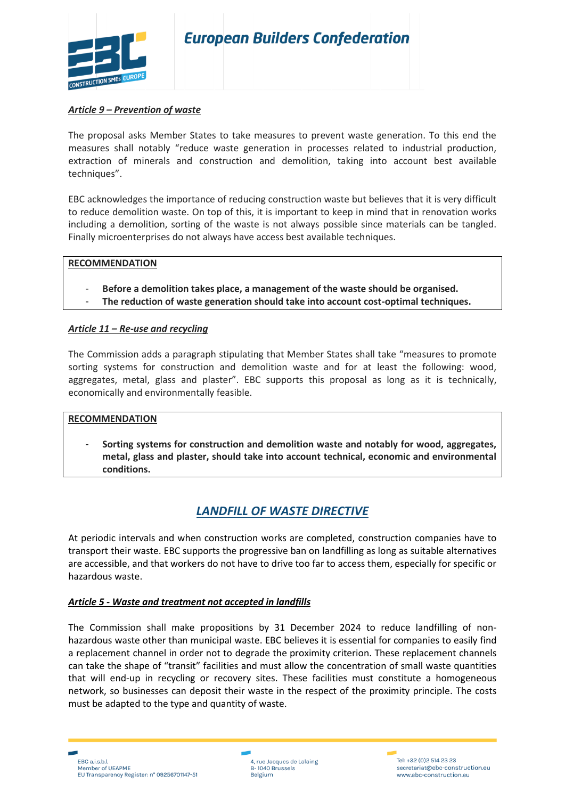

# **European Builders Confederation**

#### *Article 9 – Prevention of waste*

The proposal asks Member States to take measures to prevent waste generation. To this end the measures shall notably "reduce waste generation in processes related to industrial production, extraction of minerals and construction and demolition, taking into account best available techniques".

EBC acknowledges the importance of reducing construction waste but believes that it is very difficult to reduce demolition waste. On top of this, it is important to keep in mind that in renovation works including a demolition, sorting of the waste is not always possible since materials can be tangled. Finally microenterprises do not always have access best available techniques.

#### **RECOMMENDATION**

- **Before a demolition takes place, a management of the waste should be organised.**
- **The reduction of waste generation should take into account cost-optimal techniques.**

#### *Article 11 – Re-use and recycling*

The Commission adds a paragraph stipulating that Member States shall take "measures to promote sorting systems for construction and demolition waste and for at least the following: wood, aggregates, metal, glass and plaster". EBC supports this proposal as long as it is technically, economically and environmentally feasible.

#### **RECOMMENDATION**

- **Sorting systems for construction and demolition waste and notably for wood, aggregates, metal, glass and plaster, should take into account technical, economic and environmental conditions.** 

#### *LANDFILL OF WASTE DIRECTIVE*

At periodic intervals and when construction works are completed, construction companies have to transport their waste. EBC supports the progressive ban on landfilling as long as suitable alternatives are accessible, and that workers do not have to drive too far to access them, especially for specific or hazardous waste.

#### *Article 5 - Waste and treatment not accepted in landfills*

The Commission shall make propositions by 31 December 2024 to reduce landfilling of nonhazardous waste other than municipal waste. EBC believes it is essential for companies to easily find a replacement channel in order not to degrade the proximity criterion. These replacement channels can take the shape of "transit" facilities and must allow the concentration of small waste quantities that will end-up in recycling or recovery sites. These facilities must constitute a homogeneous network, so businesses can deposit their waste in the respect of the proximity principle. The costs must be adapted to the type and quantity of waste.

4, rue Jacques de Lalaing<br>B- 1040 Brussels Belgium